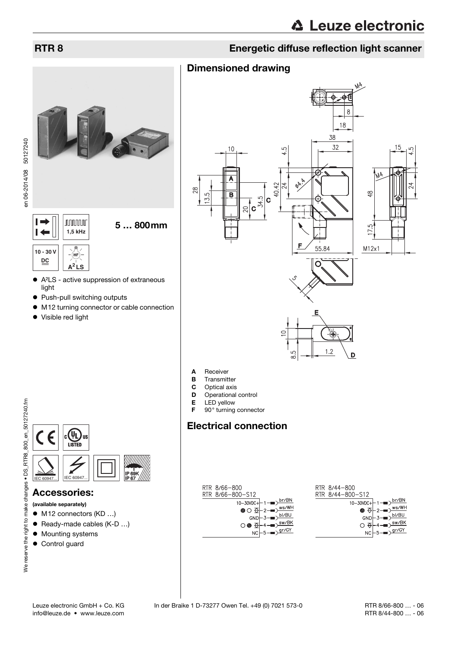# RTR 8 Energetic diffuse reflection light scanner



 $\vdash$ **JUUUUU** 5 … 800mm  $\overline{\phantom{0}}$ **1,5 kHz 10 - 30 V DC A<sup>2</sup> LS**

- A²LS active suppression of extraneous light
- Push-pull switching outputs
- M12 turning connector or cable connection
- Visible red light



- A Receiver
- **B** Transmitter<br>**C** Optical axis
- **C** Optical axis<br>**D** Operational
- Operational control
- **E** LED yellow<br>**F** 90 $^{\circ}$  turning
- 90° turning connector

# Electrical connection

| RTR 8/66-800                                                | RTR 8/44- |
|-------------------------------------------------------------|-----------|
| RTR 8/66-800-S12                                            | RTR 8/44- |
| br/BN \<br>10-30VDC+-1-                                     |           |
| $-2$ $\frac{ws}{w}$<br>$\bullet$ $\circ$ $\overline{\circ}$ |           |
| bl/BU<br>GND                                                |           |
| $\sim$ sw/BK<br>$\circ$                                     |           |
| $NC \rightarrow 5 \rightarrow 9r/GY$                        |           |

| RTR 8/44-800     |                                                                                                                                            |
|------------------|--------------------------------------------------------------------------------------------------------------------------------------------|
| RTR 8/44-800-S12 |                                                                                                                                            |
|                  | $10-30VDC + 1$ - $D \frac{br/BN}{P}$                                                                                                       |
|                  | $\bullet$ $\overline{\Theta}$ -2- $\overline{\bullet}$ $\overline{\bullet}$ $\overline{\bullet}$ $\overline{\bullet}$ $\overline{\bullet}$ |
|                  | $GND \left\vert -3 \right\vert \rightarrow D \left\vert -1 \right\vert$                                                                    |
|                  | $\bigcirc$ $\overline{\bigcirc}$ +4 $\longrightarrow$ $\overline{\bigcirc}$ sw/BK                                                          |
|                  | $NC \mid 5 \rightarrow \longrightarrow \frac{gr/GY}{}$                                                                                     |
|                  |                                                                                                                                            |



#### Accessories:

- (available separately)
- M12 connectors (KD ...)
- Ready-made cables (K-D ...)
- $\bullet$  Mounting systems
- **•** Control guard